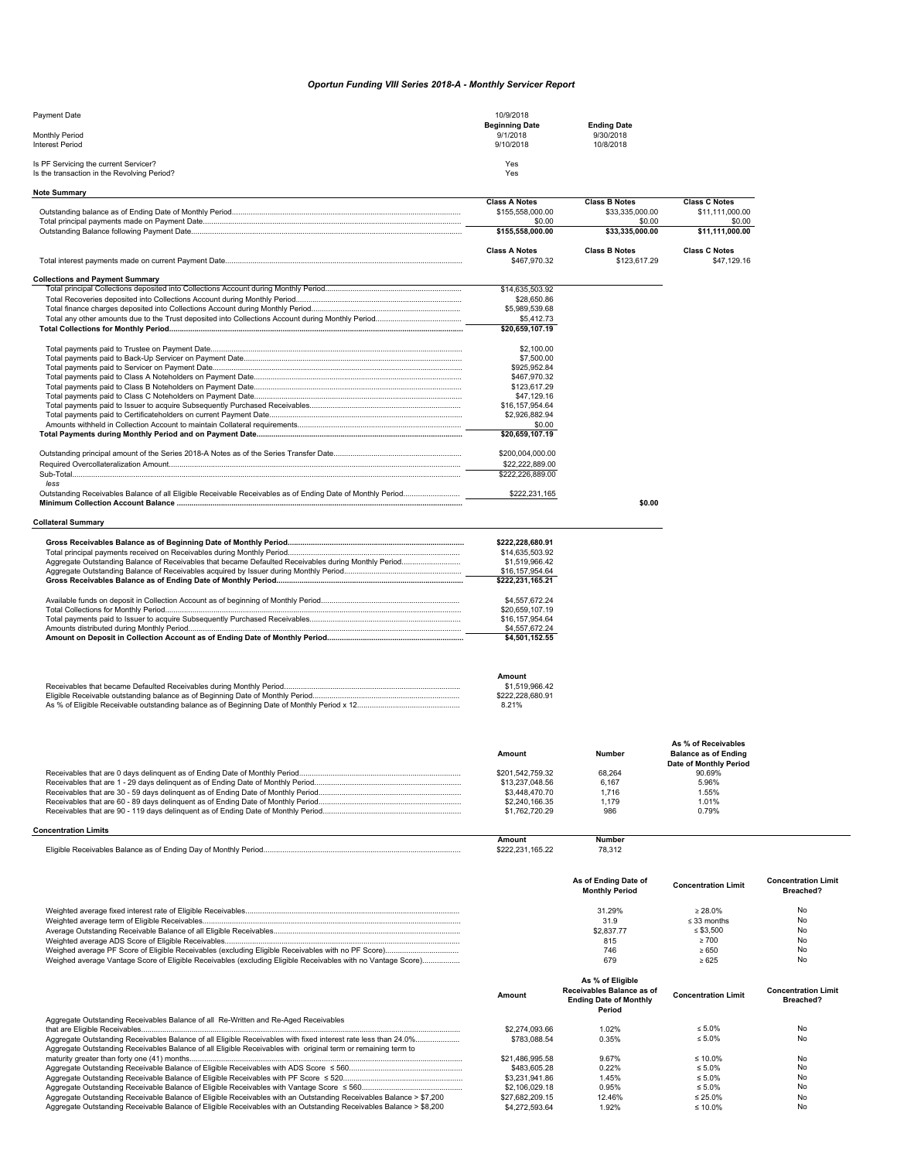## *Oportun Funding VIII Series 2018-A - Monthly Servicer Report*

| Payment Date                                                                         | 10/9/2018                         |                                 |  |
|--------------------------------------------------------------------------------------|-----------------------------------|---------------------------------|--|
| <b>Monthly Period</b>                                                                | <b>Beginning Date</b><br>9/1/2018 | <b>Ending Date</b><br>9/30/2018 |  |
| <b>Interest Period</b>                                                               | 9/10/2018                         | 10/8/2018                       |  |
| Is PF Servicing the current Servicer?<br>Is the transaction in the Revolving Period? | Yes<br>Yes                        |                                 |  |
| Note Summary                                                                         |                                   |                                 |  |

|                                                                                                                    | <b>Class A Notes</b>              | <b>Class B Notes</b>      | <b>Class C Notes</b>        |                            |
|--------------------------------------------------------------------------------------------------------------------|-----------------------------------|---------------------------|-----------------------------|----------------------------|
|                                                                                                                    | \$155,558,000.00                  | \$33,335,000.00           | \$11,111,000.00             |                            |
|                                                                                                                    | \$0.00<br>\$155,558,000.00        | \$0.00<br>\$33.335.000.00 | \$0.00<br>\$11.111.000.00   |                            |
|                                                                                                                    | <b>Class A Notes</b>              | <b>Class B Notes</b>      | <b>Class C Notes</b>        |                            |
|                                                                                                                    | \$467,970.32                      | \$123,617.29              | \$47,129.16                 |                            |
| <b>Collections and Payment Summary</b>                                                                             |                                   |                           |                             |                            |
|                                                                                                                    | \$14,635,503.92                   |                           |                             |                            |
|                                                                                                                    | \$28,650.86                       |                           |                             |                            |
|                                                                                                                    | \$5,989,539.68                    |                           |                             |                            |
|                                                                                                                    | \$5,412.73                        |                           |                             |                            |
|                                                                                                                    | \$20,659,107.19                   |                           |                             |                            |
|                                                                                                                    | \$2,100.00                        |                           |                             |                            |
|                                                                                                                    | \$7,500.00                        |                           |                             |                            |
|                                                                                                                    | \$925,952.84                      |                           |                             |                            |
|                                                                                                                    | \$467,970.32                      |                           |                             |                            |
|                                                                                                                    | \$123,617.29                      |                           |                             |                            |
|                                                                                                                    | \$47,129.16                       |                           |                             |                            |
|                                                                                                                    | \$16,157,954.64                   |                           |                             |                            |
|                                                                                                                    | \$2,926,882.94                    |                           |                             |                            |
|                                                                                                                    | \$0.00<br>\$20,659,107.19         |                           |                             |                            |
|                                                                                                                    |                                   |                           |                             |                            |
|                                                                                                                    | \$200,004,000.00                  |                           |                             |                            |
|                                                                                                                    | \$22,222,889.00                   |                           |                             |                            |
|                                                                                                                    | \$222,226,889.00                  |                           |                             |                            |
| less<br>Outstanding Receivables Balance of all Eligible Receivable Receivables as of Ending Date of Monthly Period | \$222,231,165                     |                           |                             |                            |
|                                                                                                                    |                                   | \$0.00                    |                             |                            |
|                                                                                                                    |                                   |                           |                             |                            |
| <b>Collateral Summary</b>                                                                                          |                                   |                           |                             |                            |
|                                                                                                                    | \$222,228,680.91                  |                           |                             |                            |
|                                                                                                                    | \$14,635,503.92                   |                           |                             |                            |
|                                                                                                                    | \$1,519,966.42                    |                           |                             |                            |
|                                                                                                                    | \$16,157,954.64                   |                           |                             |                            |
|                                                                                                                    | \$222,231,165.21                  |                           |                             |                            |
|                                                                                                                    | \$4,557,672.24                    |                           |                             |                            |
|                                                                                                                    | \$20,659,107.19                   |                           |                             |                            |
|                                                                                                                    | \$16,157,954.64                   |                           |                             |                            |
|                                                                                                                    | \$4,557,672.24                    |                           |                             |                            |
|                                                                                                                    | \$4,501,152.55                    |                           |                             |                            |
|                                                                                                                    |                                   |                           |                             |                            |
|                                                                                                                    | Amount                            |                           |                             |                            |
|                                                                                                                    | \$1,519,966.42                    |                           |                             |                            |
|                                                                                                                    | \$222,228,680.91                  |                           |                             |                            |
|                                                                                                                    | 8.21%                             |                           |                             |                            |
|                                                                                                                    |                                   |                           |                             |                            |
|                                                                                                                    |                                   |                           |                             |                            |
|                                                                                                                    |                                   |                           | As % of Receivables         |                            |
|                                                                                                                    | <b>Amount</b>                     | Number                    | <b>Balance as of Ending</b> |                            |
|                                                                                                                    |                                   |                           | Date of Monthly Period      |                            |
|                                                                                                                    | \$201,542,759.32                  | 68,264                    | 90.69%                      |                            |
|                                                                                                                    | \$13,237,048.56<br>\$3,448,470.70 | 6.167<br>1,716            | 5.96%<br>1.55%              |                            |
|                                                                                                                    | \$2,240,166.35                    | 1.179                     | 1.01%                       |                            |
|                                                                                                                    | \$1,762,720.29                    | 986                       | 0.79%                       |                            |
|                                                                                                                    |                                   |                           |                             |                            |
| <b>Concentration Limits</b>                                                                                        | <b>Amount</b>                     | <b>Number</b>             |                             |                            |
|                                                                                                                    | \$222,231,165.22                  | 78,312                    |                             |                            |
|                                                                                                                    |                                   |                           |                             |                            |
|                                                                                                                    |                                   | As of Ending Date of      |                             | <b>Concentration Limit</b> |
|                                                                                                                    |                                   | <b>Monthly Period</b>     | <b>Concentration Limit</b>  | Breached?                  |
|                                                                                                                    |                                   |                           |                             |                            |

Weighted average fixed interest rate of Eligible Receivables...................................................................................................... 31.29% ≥ 28.0% No Weighted average term of Eligible Receivables........................................................................................................................... 31.9 ≤ 33 months No Average Outstanding Receivable Balance of all Eligible Receivables......................................................................................... \$2,837.77 ≤ \$3,500 No Weighted average ADS Score of Eligible Receivables................................................................................................................ 815 ≥ 700 No Weighed average PF Score of Eligible Receivables (excluding Eligible Receivables with no PF Score)................................... 746 ≥ 650 No Weighed average Vantage Score of Eligible Receivables (excluding Eligible Receivables with no Vantage Score).................. 679 ≥ 625 No

|                                                                                                                    | Amount          | As % of Eligible<br>Receivables Balance as of<br><b>Ending Date of Monthly</b><br>Period | <b>Concentration Limit</b> | <b>Concentration Limit</b><br>Breached? |
|--------------------------------------------------------------------------------------------------------------------|-----------------|------------------------------------------------------------------------------------------|----------------------------|-----------------------------------------|
| Aggregate Outstanding Receivables Balance of all Re-Written and Re-Aged Receivables                                |                 |                                                                                          |                            |                                         |
|                                                                                                                    | \$2,274,093.66  | 1.02%                                                                                    | $< 5.0\%$                  | No.                                     |
|                                                                                                                    | \$783,088.54    | 0.35%                                                                                    | $\leq 5.0\%$               | No                                      |
| Aggregate Outstanding Receivables Balance of all Eligible Receivables with original term or remaining term to      |                 |                                                                                          |                            |                                         |
|                                                                                                                    | \$21.486.995.58 | 9.67%                                                                                    | $\leq 10.0\%$              | No                                      |
|                                                                                                                    | \$483,605.28    | 0.22%                                                                                    | $\leq 5.0\%$               | No                                      |
|                                                                                                                    | \$3,231,941.86  | 1.45%                                                                                    | $\leq 5.0\%$               | No                                      |
|                                                                                                                    | \$2,106,029,18  | 0.95%                                                                                    | $\leq 5.0\%$               | No                                      |
| Aggregate Outstanding Receivable Balance of Eligible Receivables with an Outstanding Receivables Balance > \$7,200 | \$27.682.209.15 | 12.46%                                                                                   | $\leq$ 25.0%               | No.                                     |
| Aggregate Outstanding Receivable Balance of Eligible Receivables with an Outstanding Receivables Balance > \$8,200 | \$4,272,593.64  | 1.92%                                                                                    | ≤ 10.0%                    | No                                      |